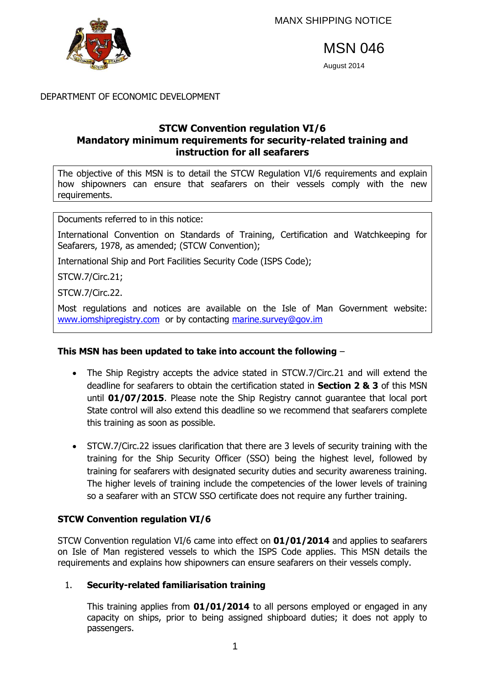

MSN 046

August 2014

## DEPARTMENT OF ECONOMIC DEVELOPMENT

# **STCW Convention regulation VI/6 Mandatory minimum requirements for security-related training and instruction for all seafarers**

The objective of this MSN is to detail the STCW Regulation VI/6 requirements and explain how shipowners can ensure that seafarers on their vessels comply with the new requirements.

Documents referred to in this notice:

International Convention on Standards of Training, Certification and Watchkeeping for Seafarers, 1978, as amended; (STCW Convention);

International Ship and Port Facilities Security Code (ISPS Code);

STCW.7/Circ.21;

STCW.7/Circ.22.

Most regulations and notices are available on the Isle of Man Government website: [www.iomshipregistry.com](http://www.gov.im/dti/shipping) or by contacting marine.survey@gov.im

## **This MSN has been updated to take into account the following** –

- The Ship Registry accepts the advice stated in STCW.7/Circ.21 and will extend the deadline for seafarers to obtain the certification stated in **Section 2 & 3** of this MSN until **01/07/2015**. Please note the Ship Registry cannot guarantee that local port State control will also extend this deadline so we recommend that seafarers complete this training as soon as possible.
- STCW.7/Circ.22 issues clarification that there are 3 levels of security training with the training for the Ship Security Officer (SSO) being the highest level, followed by training for seafarers with designated security duties and security awareness training. The higher levels of training include the competencies of the lower levels of training so a seafarer with an STCW SSO certificate does not require any further training.

# **STCW Convention regulation VI/6**

STCW Convention regulation VI/6 came into effect on **01/01/2014** and applies to seafarers on Isle of Man registered vessels to which the ISPS Code applies. This MSN details the requirements and explains how shipowners can ensure seafarers on their vessels comply.

# 1. **Security-related familiarisation training**

This training applies from **01/01/2014** to all persons employed or engaged in any capacity on ships, prior to being assigned shipboard duties; it does not apply to passengers.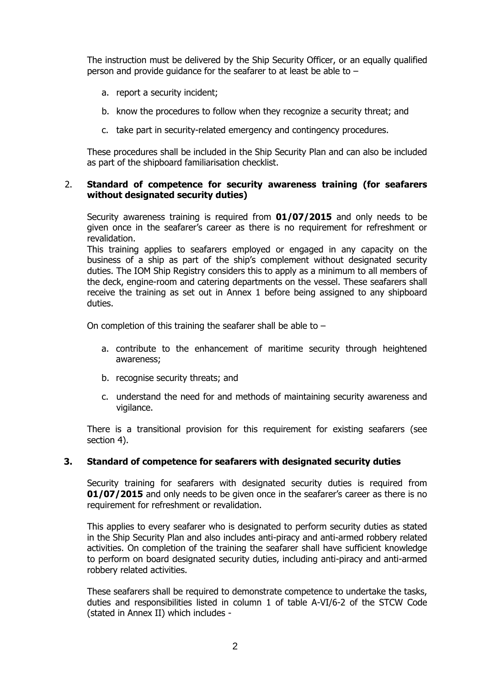The instruction must be delivered by the Ship Security Officer, or an equally qualified person and provide guidance for the seafarer to at least be able to –

- a. report a security incident;
- b. know the procedures to follow when they recognize a security threat; and
- c. take part in security-related emergency and contingency procedures.

These procedures shall be included in the Ship Security Plan and can also be included as part of the shipboard familiarisation checklist.

#### 2. **Standard of competence for security awareness training (for seafarers without designated security duties)**

Security awareness training is required from **01/07/2015** and only needs to be given once in the seafarer's career as there is no requirement for refreshment or revalidation.

This training applies to seafarers employed or engaged in any capacity on the business of a ship as part of the ship's complement without designated security duties. The IOM Ship Registry considers this to apply as a minimum to all members of the deck, engine-room and catering departments on the vessel. These seafarers shall receive the training as set out in Annex 1 before being assigned to any shipboard duties.

On completion of this training the seafarer shall be able to –

- a. contribute to the enhancement of maritime security through heightened awareness;
- b. recognise security threats; and
- c. understand the need for and methods of maintaining security awareness and vigilance.

There is a transitional provision for this requirement for existing seafarers (see section 4).

#### **3. Standard of competence for seafarers with designated security duties**

Security training for seafarers with designated security duties is required from **01/07/2015** and only needs to be given once in the seafarer's career as there is no requirement for refreshment or revalidation.

This applies to every seafarer who is designated to perform security duties as stated in the Ship Security Plan and also includes anti-piracy and anti-armed robbery related activities. On completion of the training the seafarer shall have sufficient knowledge to perform on board designated security duties, including anti-piracy and anti-armed robbery related activities.

These seafarers shall be required to demonstrate competence to undertake the tasks, duties and responsibilities listed in column 1 of table A-VI/6-2 of the STCW Code (stated in Annex II) which includes -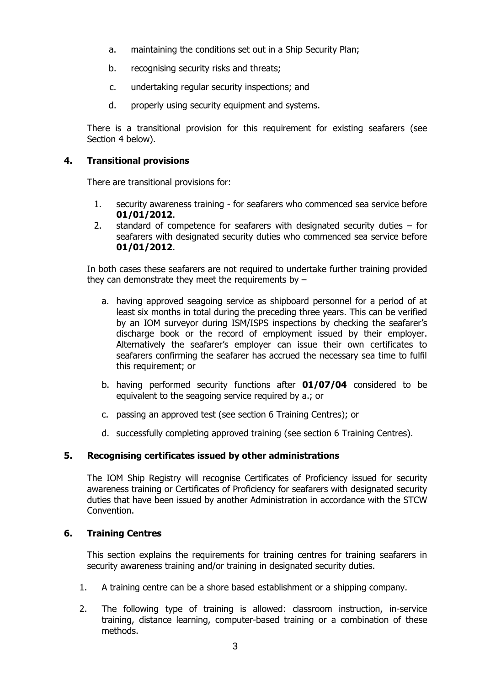- a. maintaining the conditions set out in a Ship Security Plan;
- b. recognising security risks and threats;
- c. undertaking regular security inspections; and
- d. properly using security equipment and systems.

There is a transitional provision for this requirement for existing seafarers (see Section 4 below).

### **4. Transitional provisions**

There are transitional provisions for:

- 1. security awareness training for seafarers who commenced sea service before **01/01/2012**.
- 2. standard of competence for seafarers with designated security duties for seafarers with designated security duties who commenced sea service before **01/01/2012**.

In both cases these seafarers are not required to undertake further training provided they can demonstrate they meet the requirements by  $-$ 

- a. having approved seagoing service as shipboard personnel for a period of at least six months in total during the preceding three years. This can be verified by an IOM surveyor during ISM/ISPS inspections by checking the seafarer's discharge book or the record of employment issued by their employer. Alternatively the seafarer's employer can issue their own certificates to seafarers confirming the seafarer has accrued the necessary sea time to fulfil this requirement; or
- b. having performed security functions after **01/07/04** considered to be equivalent to the seagoing service required by a.; or
- c. passing an approved test (see section 6 Training Centres); or
- d. successfully completing approved training (see section 6 Training Centres).

## **5. Recognising certificates issued by other administrations**

The IOM Ship Registry will recognise Certificates of Proficiency issued for security awareness training or Certificates of Proficiency for seafarers with designated security duties that have been issued by another Administration in accordance with the STCW Convention.

#### **6. Training Centres**

This section explains the requirements for training centres for training seafarers in security awareness training and/or training in designated security duties.

- 1. A training centre can be a shore based establishment or a shipping company.
- 2. The following type of training is allowed: classroom instruction, in-service training, distance learning, computer-based training or a combination of these methods.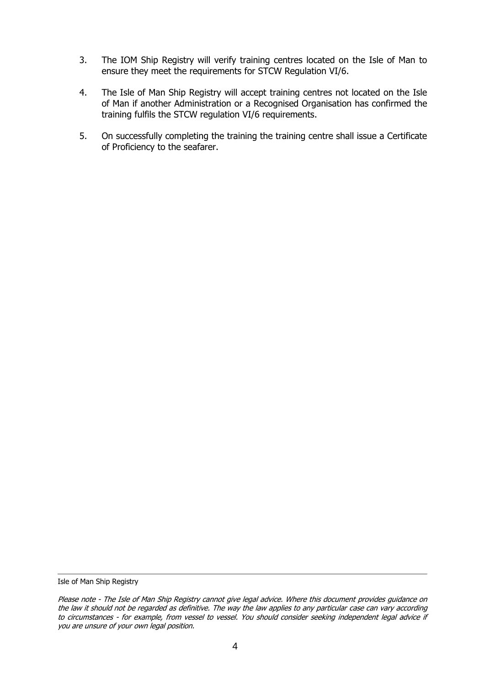- 3. The IOM Ship Registry will verify training centres located on the Isle of Man to ensure they meet the requirements for STCW Regulation VI/6.
- 4. The Isle of Man Ship Registry will accept training centres not located on the Isle of Man if another Administration or a Recognised Organisation has confirmed the training fulfils the STCW regulation VI/6 requirements.
- 5. On successfully completing the training the training centre shall issue a Certificate of Proficiency to the seafarer.

Isle of Man Ship Registry

Please note - The Isle of Man Ship Registry cannot give legal advice. Where this document provides guidance on the law it should not be regarded as definitive. The way the law applies to any particular case can vary according to circumstances - for example, from vessel to vessel. You should consider seeking independent legal advice if you are unsure of your own legal position.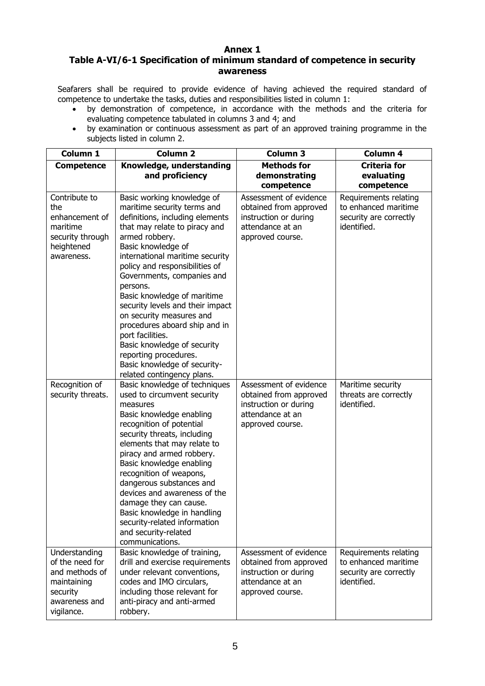### **Annex 1**

### **Table A-VI/6-1 Specification of minimum standard of competence in security awareness**

Seafarers shall be required to provide evidence of having achieved the required standard of competence to undertake the tasks, duties and responsibilities listed in column 1:

- by demonstration of competence, in accordance with the methods and the criteria for evaluating competence tabulated in columns 3 and 4; and
- by examination or continuous assessment as part of an approved training programme in the subjects listed in column 2.

| Column 1                                                                                                     | <b>Column 2</b>                                                                                                                                                                                                                                                                                                                                                                                                                                                                                                                                                | <b>Column 3</b>                                                                                                   | Column 4                                                                               |
|--------------------------------------------------------------------------------------------------------------|----------------------------------------------------------------------------------------------------------------------------------------------------------------------------------------------------------------------------------------------------------------------------------------------------------------------------------------------------------------------------------------------------------------------------------------------------------------------------------------------------------------------------------------------------------------|-------------------------------------------------------------------------------------------------------------------|----------------------------------------------------------------------------------------|
| <b>Competence</b>                                                                                            | Knowledge, understanding<br>and proficiency                                                                                                                                                                                                                                                                                                                                                                                                                                                                                                                    | <b>Methods for</b><br>demonstrating<br>competence                                                                 | <b>Criteria for</b><br>evaluating<br>competence                                        |
| Contribute to<br>the<br>enhancement of<br>maritime<br>security through<br>heightened<br>awareness.           | Basic working knowledge of<br>maritime security terms and<br>definitions, including elements<br>that may relate to piracy and<br>armed robbery.<br>Basic knowledge of<br>international maritime security<br>policy and responsibilities of<br>Governments, companies and<br>persons.<br>Basic knowledge of maritime<br>security levels and their impact<br>on security measures and<br>procedures aboard ship and in<br>port facilities.<br>Basic knowledge of security<br>reporting procedures.<br>Basic knowledge of security-<br>related contingency plans. | Assessment of evidence<br>obtained from approved<br>instruction or during<br>attendance at an<br>approved course. | Requirements relating<br>to enhanced maritime<br>security are correctly<br>identified. |
| Recognition of<br>security threats.                                                                          | Basic knowledge of techniques<br>used to circumvent security<br>measures<br>Basic knowledge enabling<br>recognition of potential<br>security threats, including<br>elements that may relate to<br>piracy and armed robbery.<br>Basic knowledge enabling<br>recognition of weapons,<br>dangerous substances and<br>devices and awareness of the<br>damage they can cause.<br>Basic knowledge in handling<br>security-related information<br>and security-related<br>communications.                                                                             | Assessment of evidence<br>obtained from approved<br>instruction or during<br>attendance at an<br>approved course. | Maritime security<br>threats are correctly<br>identified.                              |
| Understanding<br>of the need for<br>and methods of<br>maintaining<br>security<br>awareness and<br>vigilance. | Basic knowledge of training,<br>drill and exercise requirements<br>under relevant conventions,<br>codes and IMO circulars,<br>including those relevant for<br>anti-piracy and anti-armed<br>robbery.                                                                                                                                                                                                                                                                                                                                                           | Assessment of evidence<br>obtained from approved<br>instruction or during<br>attendance at an<br>approved course. | Requirements relating<br>to enhanced maritime<br>security are correctly<br>identified. |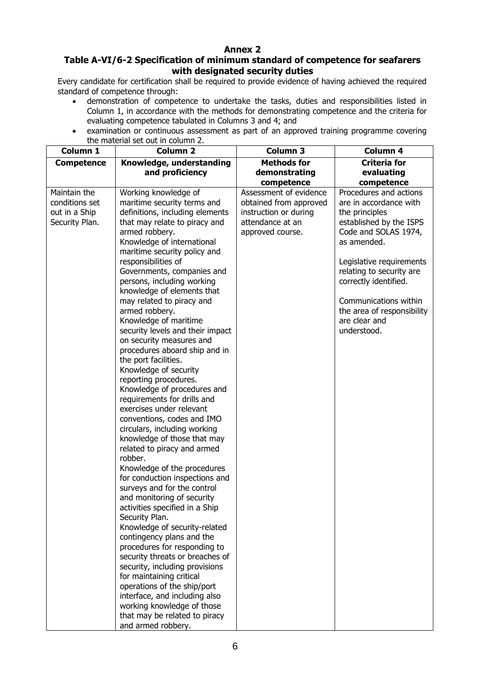### **Annex 2**

#### **Table A-VI/6-2 Specification of minimum standard of competence for seafarers with designated security duties**

Every candidate for certification shall be required to provide evidence of having achieved the required standard of competence through:

- demonstration of competence to undertake the tasks, duties and responsibilities listed in Column 1, in accordance with the methods for demonstrating competence and the criteria for evaluating competence tabulated in Columns 3 and 4; and
- examination or continuous assessment as part of an approved training programme covering the material set out in column 2.